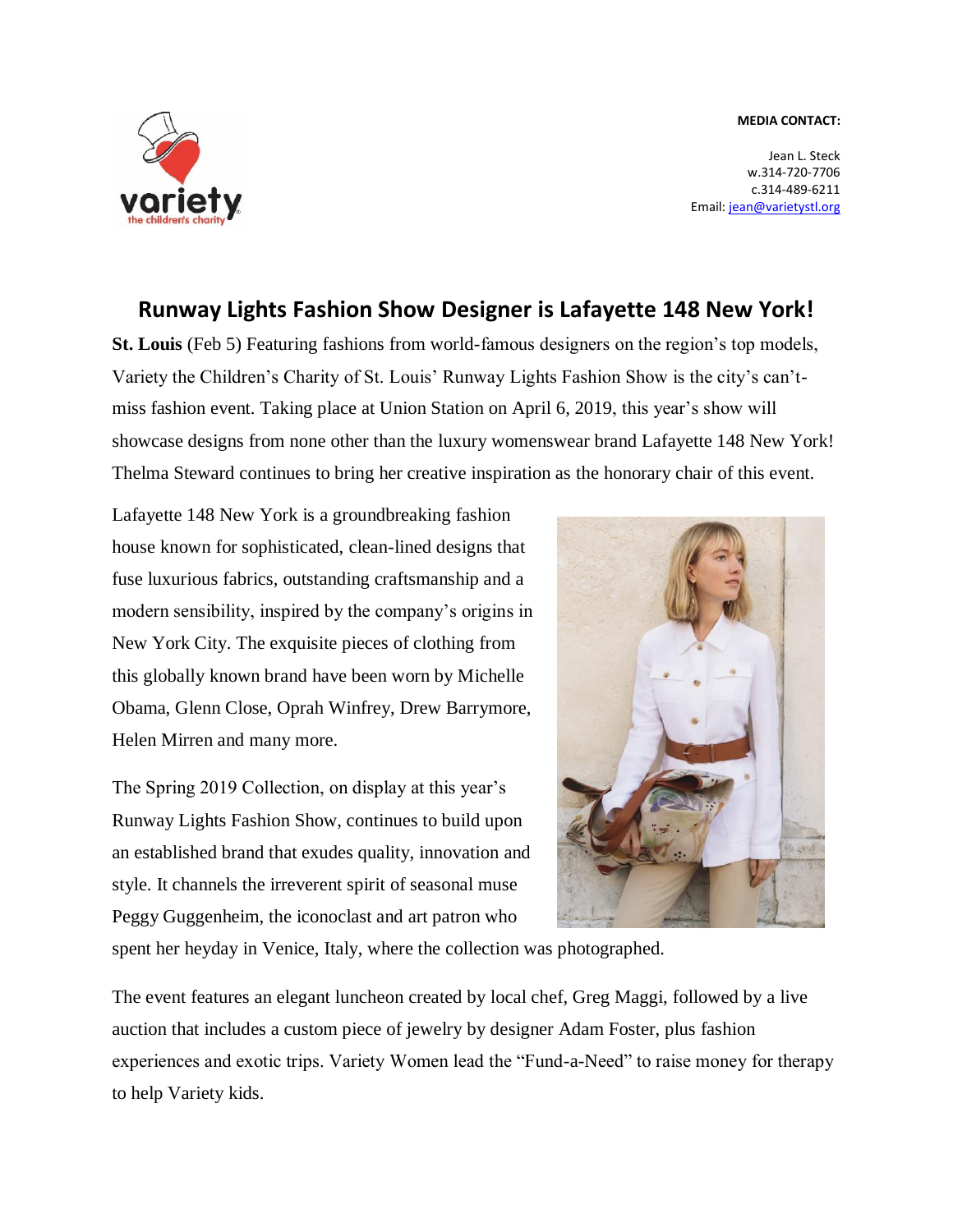## **MEDIA CONTACT:**



Jean L. Steck w.314-720-7706 c.314-489-6211 Email[: jean@varietystl.org](mailto:jean@varietystl.org)

## **Runway Lights Fashion Show Designer is Lafayette 148 New York!**

**St. Louis** (Feb 5) Featuring fashions from world-famous designers on the region's top models, Variety the Children's Charity of St. Louis' Runway Lights Fashion Show is the city's can'tmiss fashion event. Taking place at Union Station on April 6, 2019, this year's show will showcase designs from none other than the luxury womenswear brand Lafayette 148 New York! Thelma Steward continues to bring her creative inspiration as the honorary chair of this event.

Lafayette 148 New York is a groundbreaking fashion house known for sophisticated, clean-lined designs that fuse luxurious fabrics, outstanding craftsmanship and a modern sensibility, inspired by the company's origins in New York City. The exquisite pieces of clothing from this globally known brand have been worn by Michelle Obama, Glenn Close, Oprah Winfrey, Drew Barrymore, Helen Mirren and many more.

The Spring 2019 Collection, on display at this year's Runway Lights Fashion Show, continues to build upon an established brand that exudes quality, innovation and style. It channels the irreverent spirit of seasonal muse Peggy Guggenheim, the iconoclast and art patron who



spent her heyday in Venice, Italy, where the collection was photographed.

The event features an elegant luncheon created by local chef, Greg Maggi, followed by a live auction that includes a custom piece of jewelry by designer Adam Foster, plus fashion experiences and exotic trips. Variety Women lead the "Fund-a-Need" to raise money for therapy to help Variety kids.